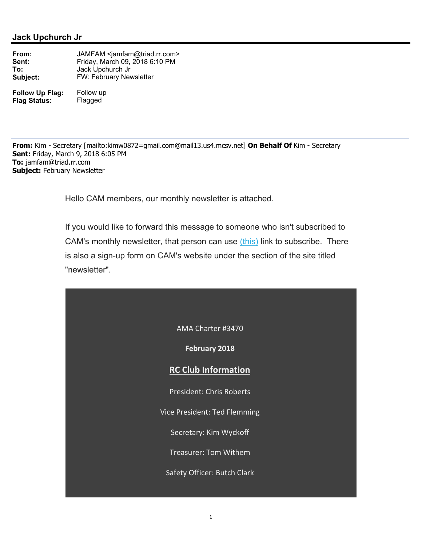AMA Charter #3470

**February 2018**

## **RC Club Information**

President: Chris Roberts

Vice President: Ted Flemming

Secretary: Kim Wyckoff

Treasurer: Tom Withem

Safety Officer: Butch Clark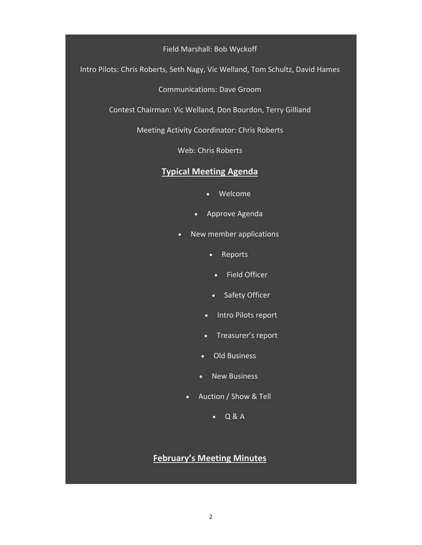#### Field Marshall: Bob Wyckoff

Intro Pilots: Chris Roberts, Seth Nagy, Vic Welland, Tom Schultz, David Hames

Communications: Dave Groom

Contest Chairman: Vic Welland, Don Bourdon, Terry Gilliand

Meeting Activity Coordinator: Chris Roberts

Web: Chris Roberts

## **Typical Meeting Agenda**

- Welcome
- Approve Agenda
- New member applications
	- Reports
		- Field Officer
	- Safety Officer
	- Intro Pilots report
	- Treasurer's report
	- Old Business
	- New Business
	- Auction / Show & Tell
		- $\bullet$  Q & A

# **February's Meeting Minutes**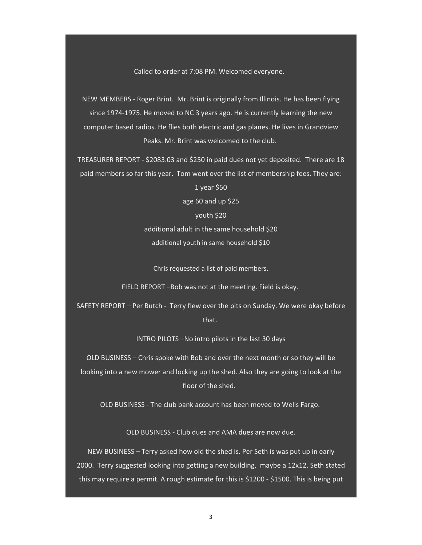Called to order at 7:08 PM. Welcomed everyone.

NEW MEMBERS ‐ Roger Brint. Mr. Brint is originally from Illinois. He has been flying since 1974‐1975. He moved to NC 3 years ago. He is currently learning the new computer based radios. He flies both electric and gas planes. He lives in Grandview Peaks. Mr. Brint was welcomed to the club.

TREASURER REPORT ‐ \$2083.03 and \$250 in paid dues not yet deposited. There are 18 paid members so far this year. Tom went over the list of membership fees. They are:

> 1 year \$50 age 60 and up \$25 youth \$20 additional adult in the same household \$20 additional youth in same household \$10

Chris requested a list of paid members.

FIELD REPORT –Bob was not at the meeting. Field is okay.

SAFETY REPORT – Per Butch ‐ Terry flew over the pits on Sunday. We were okay before that.

INTRO PILOTS –No intro pilots in the last 30 days

OLD BUSINESS – Chris spoke with Bob and over the next month or so they will be looking into a new mower and locking up the shed. Also they are going to look at the floor of the shed.

OLD BUSINESS - The club bank account has been moved to Wells Fargo.

OLD BUSINESS ‐ Club dues and AMA dues are now due.

NEW BUSINESS – Terry asked how old the shed is. Per Seth is was put up in early 2000. Terry suggested looking into getting a new building, maybe a 12x12. Seth stated this may require a permit. A rough estimate for this is \$1200 ‐ \$1500. This is being put